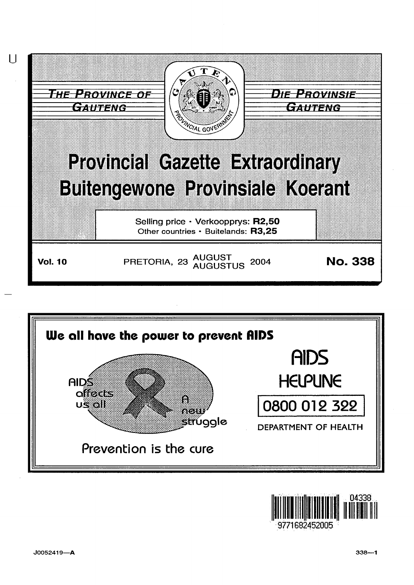



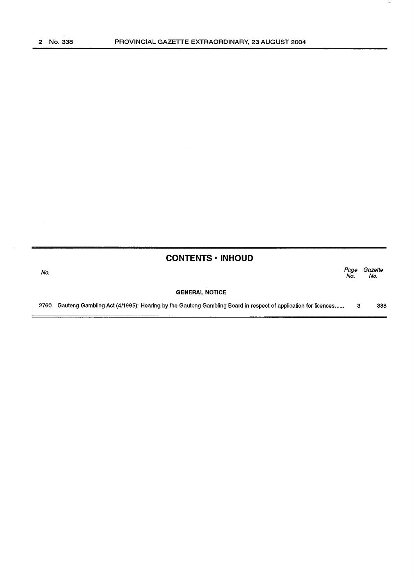# **CONTENTS • INHOUD**

No. Page Gazette No. No.

#### **GENERAL NOTICE**

2760 Gauteng Gambling Act (4/1995): Hearing by the Gauteng Gambling Board in respect of application for licences ...... 3 338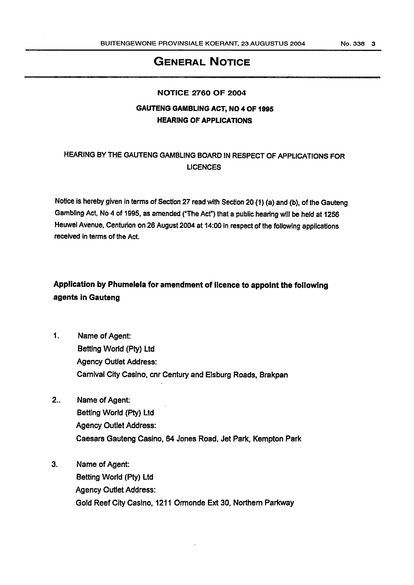## GENERAL NOTICE

#### NOTICE 2760 OF 2004

### GAUTENG GAMBLING ACT, NO 4 OF 1995 HEARING OF APPLICATIONS

## HEARING BY THE GAUTENG GAMBLING BOARD IN RESPECT OF APPLICATIONS FOR LICENCES

Notice is hereby given in terms of Section 27 read with Section 20 (1} {a) and (b), of the Gauteng Gambling Act, No 4 of 1995, as amended ("The Act") that a public hearing will be held at 1256 Heuwel Avenue, Centurion on 26 August 2004 at 14:00 In respect of the following applications received in terms of the Act.

# Application by Phumelela for amendment of licence to appoint the following agents in Gauteng

- 1. Name of Agent: Betting World (Pty) Ltd Agency Outlet Address: Carnival City Casino, cnr Century and Elsburg Roads, Brakpan
- 2.. Name of Agent: Betting World (Pty) Ltd Agency Outlet Address: Caesars Gauteng Casino, 64 Jones Road, Jet Park, Kempton Park
- 3. Name of Agent: Betting World (Pty) Ltd Agency Outlet Address: Gold Reef City Casino, 1211 Ormonde Ext 30, Northern Parkway